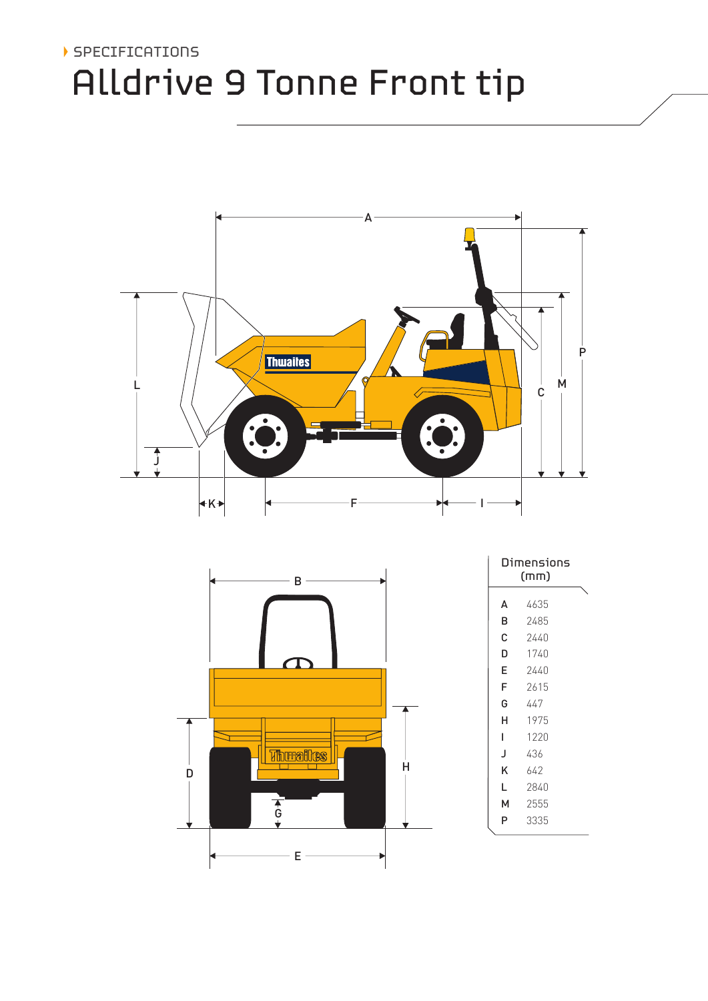## SPECIFICATIONS Alldrive 9 Tonne Front tip